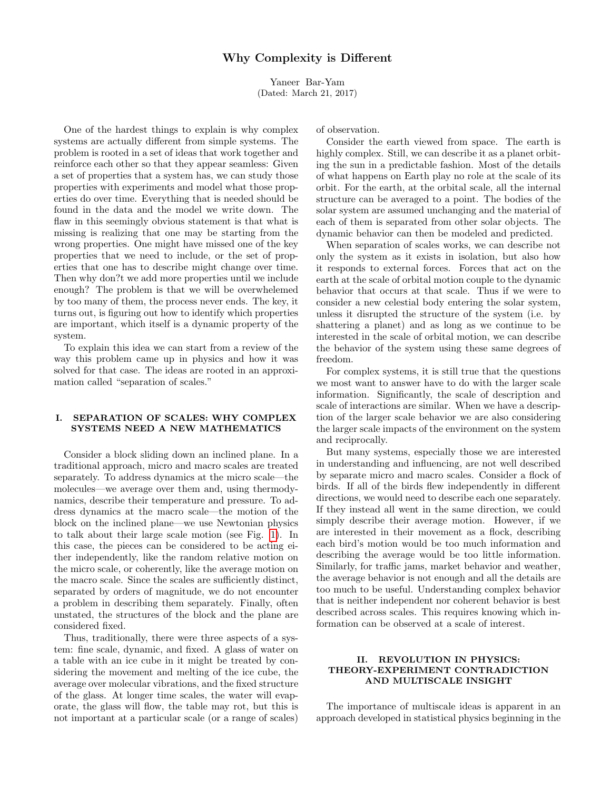Yaneer Bar-Yam (Dated: March 21, 2017)

One of the hardest things to explain is why complex systems are actually different from simple systems. The problem is rooted in a set of ideas that work together and reinforce each other so that they appear seamless: Given a set of properties that a system has, we can study those properties with experiments and model what those properties do over time. Everything that is needed should be found in the data and the model we write down. The flaw in this seemingly obvious statement is that what is missing is realizing that one may be starting from the wrong properties. One might have missed one of the key properties that we need to include, or the set of properties that one has to describe might change over time. Then why don?t we add more properties until we include enough? The problem is that we will be overwhelemed by too many of them, the process never ends. The key, it turns out, is figuring out how to identify which properties are important, which itself is a dynamic property of the system.

To explain this idea we can start from a review of the way this problem came up in physics and how it was solved for that case. The ideas are rooted in an approximation called "separation of scales."

## I. SEPARATION OF SCALES: WHY COMPLEX SYSTEMS NEED A NEW MATHEMATICS

Consider a block sliding down an inclined plane. In a traditional approach, micro and macro scales are treated separately. To address dynamics at the micro scale—the molecules—we average over them and, using thermodynamics, describe their temperature and pressure. To address dynamics at the macro scale—the motion of the block on the inclined plane—we use Newtonian physics to talk about their large scale motion (see Fig. [1\)](#page-1-0). In this case, the pieces can be considered to be acting either independently, like the random relative motion on the micro scale, or coherently, like the average motion on the macro scale. Since the scales are sufficiently distinct, separated by orders of magnitude, we do not encounter a problem in describing them separately. Finally, often unstated, the structures of the block and the plane are considered fixed.

Thus, traditionally, there were three aspects of a system: fine scale, dynamic, and fixed. A glass of water on a table with an ice cube in it might be treated by considering the movement and melting of the ice cube, the average over molecular vibrations, and the fixed structure of the glass. At longer time scales, the water will evaporate, the glass will flow, the table may rot, but this is not important at a particular scale (or a range of scales)

of observation.

Consider the earth viewed from space. The earth is highly complex. Still, we can describe it as a planet orbiting the sun in a predictable fashion. Most of the details of what happens on Earth play no role at the scale of its orbit. For the earth, at the orbital scale, all the internal structure can be averaged to a point. The bodies of the solar system are assumed unchanging and the material of each of them is separated from other solar objects. The dynamic behavior can then be modeled and predicted.

When separation of scales works, we can describe not only the system as it exists in isolation, but also how it responds to external forces. Forces that act on the earth at the scale of orbital motion couple to the dynamic behavior that occurs at that scale. Thus if we were to consider a new celestial body entering the solar system, unless it disrupted the structure of the system (i.e. by shattering a planet) and as long as we continue to be interested in the scale of orbital motion, we can describe the behavior of the system using these same degrees of freedom.

For complex systems, it is still true that the questions we most want to answer have to do with the larger scale information. Significantly, the scale of description and scale of interactions are similar. When we have a description of the larger scale behavior we are also considering the larger scale impacts of the environment on the system and reciprocally.

But many systems, especially those we are interested in understanding and influencing, are not well described by separate micro and macro scales. Consider a flock of birds. If all of the birds flew independently in different directions, we would need to describe each one separately. If they instead all went in the same direction, we could simply describe their average motion. However, if we are interested in their movement as a flock, describing each bird's motion would be too much information and describing the average would be too little information. Similarly, for traffic jams, market behavior and weather, the average behavior is not enough and all the details are too much to be useful. Understanding complex behavior that is neither independent nor coherent behavior is best described across scales. This requires knowing which information can be observed at a scale of interest.

## II. REVOLUTION IN PHYSICS: THEORY-EXPERIMENT CONTRADICTION AND MULTISCALE INSIGHT

The importance of multiscale ideas is apparent in an approach developed in statistical physics beginning in the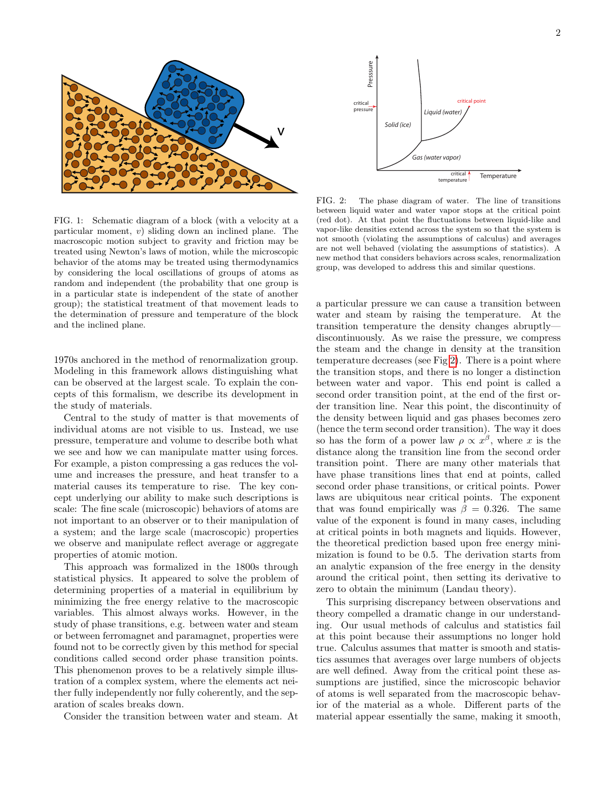

<span id="page-1-0"></span>FIG. 1: Schematic diagram of a block (with a velocity at a particular moment, v) sliding down an inclined plane. The macroscopic motion subject to gravity and friction may be treated using Newton's laws of motion, while the microscopic behavior of the atoms may be treated using thermodynamics by considering the local oscillations of groups of atoms as random and independent (the probability that one group is in a particular state is independent of the state of another group); the statistical treatment of that movement leads to the determination of pressure and temperature of the block and the inclined plane.

1970s anchored in the method of renormalization group. Modeling in this framework allows distinguishing what can be observed at the largest scale. To explain the concepts of this formalism, we describe its development in the study of materials.

Central to the study of matter is that movements of individual atoms are not visible to us. Instead, we use pressure, temperature and volume to describe both what we see and how we can manipulate matter using forces. For example, a piston compressing a gas reduces the volume and increases the pressure, and heat transfer to a material causes its temperature to rise. The key concept underlying our ability to make such descriptions is scale: The fine scale (microscopic) behaviors of atoms are not important to an observer or to their manipulation of a system; and the large scale (macroscopic) properties we observe and manipulate reflect average or aggregate properties of atomic motion.

This approach was formalized in the 1800s through statistical physics. It appeared to solve the problem of determining properties of a material in equilibrium by minimizing the free energy relative to the macroscopic variables. This almost always works. However, in the study of phase transitions, e.g. between water and steam or between ferromagnet and paramagnet, properties were found not to be correctly given by this method for special conditions called second order phase transition points. This phenomenon proves to be a relatively simple illustration of a complex system, where the elements act neither fully independently nor fully coherently, and the separation of scales breaks down.

Consider the transition between water and steam. At



<span id="page-1-1"></span>FIG. 2: The phase diagram of water. The line of transitions between liquid water and water vapor stops at the critical point (red dot). At that point the fluctuations between liquid-like and vapor-like densities extend across the system so that the system is not smooth (violating the assumptions of calculus) and averages are not well behaved (violating the assumptions of statistics). A new method that considers behaviors across scales, renormalization group, was developed to address this and similar questions.

a particular pressure we can cause a transition between water and steam by raising the temperature. At the transition temperature the density changes abruptly discontinuously. As we raise the pressure, we compress the steam and the change in density at the transition temperature decreases (see Fig [2\)](#page-1-1). There is a point where the transition stops, and there is no longer a distinction between water and vapor. This end point is called a second order transition point, at the end of the first order transition line. Near this point, the discontinuity of the density between liquid and gas phases becomes zero (hence the term second order transition). The way it does so has the form of a power law  $\rho \propto x^{\beta}$ , where x is the distance along the transition line from the second order transition point. There are many other materials that have phase transitions lines that end at points, called second order phase transitions, or critical points. Power laws are ubiquitous near critical points. The exponent that was found empirically was  $\beta = 0.326$ . The same value of the exponent is found in many cases, including at critical points in both magnets and liquids. However, the theoretical prediction based upon free energy minimization is found to be 0.5. The derivation starts from an analytic expansion of the free energy in the density around the critical point, then setting its derivative to zero to obtain the minimum (Landau theory).

This surprising discrepancy between observations and theory compelled a dramatic change in our understanding. Our usual methods of calculus and statistics fail at this point because their assumptions no longer hold true. Calculus assumes that matter is smooth and statistics assumes that averages over large numbers of objects are well defined. Away from the critical point these assumptions are justified, since the microscopic behavior of atoms is well separated from the macroscopic behavior of the material as a whole. Different parts of the material appear essentially the same, making it smooth,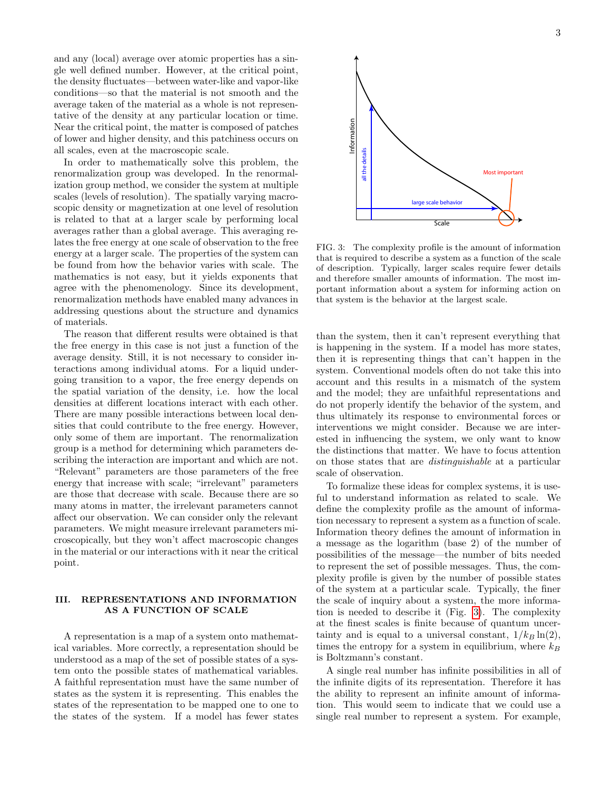and any (local) average over atomic properties has a single well defined number. However, at the critical point, the density fluctuates—between water-like and vapor-like conditions—so that the material is not smooth and the average taken of the material as a whole is not representative of the density at any particular location or time. Near the critical point, the matter is composed of patches of lower and higher density, and this patchiness occurs on all scales, even at the macroscopic scale.

In order to mathematically solve this problem, the renormalization group was developed. In the renormalization group method, we consider the system at multiple scales (levels of resolution). The spatially varying macroscopic density or magnetization at one level of resolution is related to that at a larger scale by performing local averages rather than a global average. This averaging relates the free energy at one scale of observation to the free energy at a larger scale. The properties of the system can be found from how the behavior varies with scale. The mathematics is not easy, but it yields exponents that agree with the phenomenology. Since its development, renormalization methods have enabled many advances in addressing questions about the structure and dynamics of materials.

The reason that different results were obtained is that the free energy in this case is not just a function of the average density. Still, it is not necessary to consider interactions among individual atoms. For a liquid undergoing transition to a vapor, the free energy depends on the spatial variation of the density, i.e. how the local densities at different locations interact with each other. There are many possible interactions between local densities that could contribute to the free energy. However, only some of them are important. The renormalization group is a method for determining which parameters describing the interaction are important and which are not. "Relevant" parameters are those parameters of the free energy that increase with scale; "irrelevant" parameters are those that decrease with scale. Because there are so many atoms in matter, the irrelevant parameters cannot affect our observation. We can consider only the relevant parameters. We might measure irrelevant parameters microscopically, but they won't affect macroscopic changes in the material or our interactions with it near the critical point.

## III. REPRESENTATIONS AND INFORMATION AS A FUNCTION OF SCALE

A representation is a map of a system onto mathematical variables. More correctly, a representation should be understood as a map of the set of possible states of a system onto the possible states of mathematical variables. A faithful representation must have the same number of states as the system it is representing. This enables the states of the representation to be mapped one to one to the states of the system. If a model has fewer states



<span id="page-2-0"></span>FIG. 3: The complexity profile is the amount of information that is required to describe a system as a function of the scale of description. Typically, larger scales require fewer details and therefore smaller amounts of information. The most important information about a system for informing action on that system is the behavior at the largest scale.

than the system, then it can't represent everything that is happening in the system. If a model has more states, then it is representing things that can't happen in the system. Conventional models often do not take this into account and this results in a mismatch of the system and the model; they are unfaithful representations and do not properly identify the behavior of the system, and thus ultimately its response to environmental forces or interventions we might consider. Because we are interested in influencing the system, we only want to know the distinctions that matter. We have to focus attention on those states that are distinguishable at a particular scale of observation.

To formalize these ideas for complex systems, it is useful to understand information as related to scale. We define the complexity profile as the amount of information necessary to represent a system as a function of scale. Information theory defines the amount of information in a message as the logarithm (base 2) of the number of possibilities of the message—the number of bits needed to represent the set of possible messages. Thus, the complexity profile is given by the number of possible states of the system at a particular scale. Typically, the finer the scale of inquiry about a system, the more information is needed to describe it (Fig. [3\)](#page-2-0). The complexity at the finest scales is finite because of quantum uncertainty and is equal to a universal constant,  $1/k_B \ln(2)$ , times the entropy for a system in equilibrium, where  $k_B$ is Boltzmann's constant.

A single real number has infinite possibilities in all of the infinite digits of its representation. Therefore it has the ability to represent an infinite amount of information. This would seem to indicate that we could use a single real number to represent a system. For example,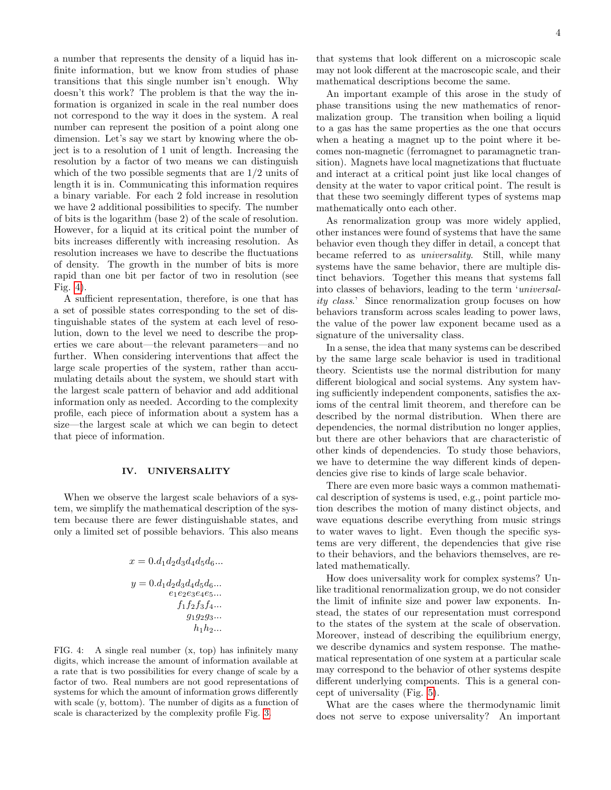a number that represents the density of a liquid has infinite information, but we know from studies of phase transitions that this single number isn't enough. Why doesn't this work? The problem is that the way the information is organized in scale in the real number does not correspond to the way it does in the system. A real number can represent the position of a point along one dimension. Let's say we start by knowing where the object is to a resolution of 1 unit of length. Increasing the resolution by a factor of two means we can distinguish which of the two possible segments that are 1/2 units of length it is in. Communicating this information requires a binary variable. For each 2 fold increase in resolution we have 2 additional possibilities to specify. The number of bits is the logarithm (base 2) of the scale of resolution. However, for a liquid at its critical point the number of bits increases differently with increasing resolution. As resolution increases we have to describe the fluctuations of density. The growth in the number of bits is more rapid than one bit per factor of two in resolution (see Fig. [4\)](#page-3-0).

A sufficient representation, therefore, is one that has a set of possible states corresponding to the set of distinguishable states of the system at each level of resolution, down to the level we need to describe the properties we care about—the relevant parameters—and no further. When considering interventions that affect the large scale properties of the system, rather than accumulating details about the system, we should start with the largest scale pattern of behavior and add additional information only as needed. According to the complexity profile, each piece of information about a system has a size—the largest scale at which we can begin to detect that piece of information.

## IV. UNIVERSALITY

When we observe the largest scale behaviors of a system, we simplify the mathematical description of the system because there are fewer distinguishable states, and only a limited set of possible behaviors. This also means

$$
x = 0.d_1d_2d_3d_4d_5d_6...
$$
  
\n
$$
y = 0.d_1d_2d_3d_4d_5d_6...
$$
  
\n
$$
e_1e_2e_3e_4e_5...
$$
  
\n
$$
f_1f_2f_3f_4...
$$
  
\n
$$
g_1g_2g_3...
$$
  
\n
$$
h_1h_2...
$$

<span id="page-3-0"></span>FIG. 4: A single real number (x, top) has infinitely many digits, which increase the amount of information available at a rate that is two possibilities for every change of scale by a factor of two. Real numbers are not good representations of systems for which the amount of information grows differently with scale (y, bottom). The number of digits as a function of scale is characterized by the complexity profile Fig. [3.](#page-2-0)

that systems that look different on a microscopic scale may not look different at the macroscopic scale, and their mathematical descriptions become the same.

An important example of this arose in the study of phase transitions using the new mathematics of renormalization group. The transition when boiling a liquid to a gas has the same properties as the one that occurs when a heating a magnet up to the point where it becomes non-magnetic (ferromagnet to paramagnetic transition). Magnets have local magnetizations that fluctuate and interact at a critical point just like local changes of density at the water to vapor critical point. The result is that these two seemingly different types of systems map mathematically onto each other.

As renormalization group was more widely applied, other instances were found of systems that have the same behavior even though they differ in detail, a concept that became referred to as universality. Still, while many systems have the same behavior, there are multiple distinct behaviors. Together this means that systems fall into classes of behaviors, leading to the term 'universality class.' Since renormalization group focuses on how behaviors transform across scales leading to power laws, the value of the power law exponent became used as a signature of the universality class.

In a sense, the idea that many systems can be described by the same large scale behavior is used in traditional theory. Scientists use the normal distribution for many different biological and social systems. Any system having sufficiently independent components, satisfies the axioms of the central limit theorem, and therefore can be described by the normal distribution. When there are dependencies, the normal distribution no longer applies, but there are other behaviors that are characteristic of other kinds of dependencies. To study those behaviors, we have to determine the way different kinds of dependencies give rise to kinds of large scale behavior.

There are even more basic ways a common mathematical description of systems is used, e.g., point particle motion describes the motion of many distinct objects, and wave equations describe everything from music strings to water waves to light. Even though the specific systems are very different, the dependencies that give rise to their behaviors, and the behaviors themselves, are related mathematically.

How does universality work for complex systems? Unlike traditional renormalization group, we do not consider the limit of infinite size and power law exponents. Instead, the states of our representation must correspond to the states of the system at the scale of observation. Moreover, instead of describing the equilibrium energy, we describe dynamics and system response. The mathematical representation of one system at a particular scale may correspond to the behavior of other systems despite different underlying components. This is a general concept of universality (Fig. [5\)](#page-4-0).

What are the cases where the thermodynamic limit does not serve to expose universality? An important